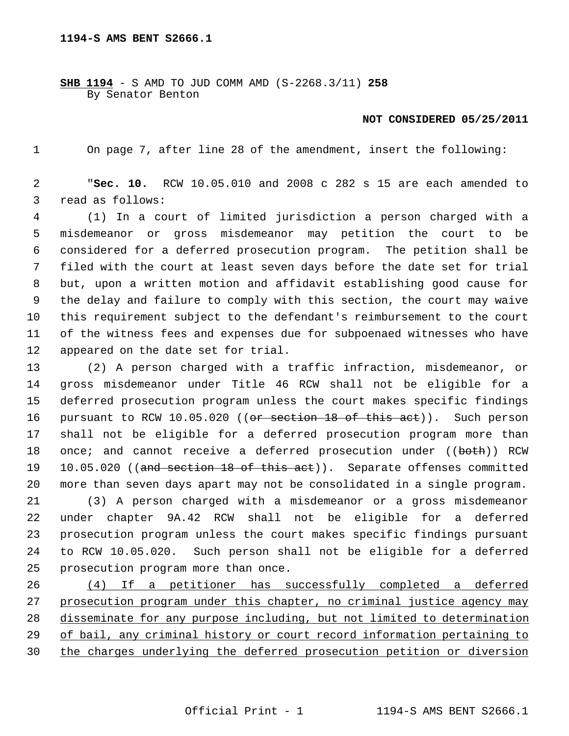**SHB 1194** - S AMD TO JUD COMM AMD (S-2268.3/11) **258** By Senator Benton

## **NOT CONSIDERED 05/25/2011**

1 On page 7, after line 28 of the amendment, insert the following:

 2 "**Sec. 10.** RCW 10.05.010 and 2008 c 282 s 15 are each amended to 3 read as follows:

 4 (1) In a court of limited jurisdiction a person charged with a 5 misdemeanor or gross misdemeanor may petition the court to be 6 considered for a deferred prosecution program. The petition shall be 7 filed with the court at least seven days before the date set for trial 8 but, upon a written motion and affidavit establishing good cause for 9 the delay and failure to comply with this section, the court may waive 10 this requirement subject to the defendant's reimbursement to the court 11 of the witness fees and expenses due for subpoenaed witnesses who have 12 appeared on the date set for trial.

13 (2) A person charged with a traffic infraction, misdemeanor, or 14 gross misdemeanor under Title 46 RCW shall not be eligible for a 15 deferred prosecution program unless the court makes specific findings 16 pursuant to RCW 10.05.020 ((or section 18 of this act)). Such person 17 shall not be eligible for a deferred prosecution program more than 18 once; and cannot receive a deferred prosecution under ((both)) RCW 19 10.05.020 ((and section 18 of this act)). Separate offenses committed 20 more than seven days apart may not be consolidated in a single program.

21 (3) A person charged with a misdemeanor or a gross misdemeanor 22 under chapter 9A.42 RCW shall not be eligible for a deferred 23 prosecution program unless the court makes specific findings pursuant 24 to RCW 10.05.020. Such person shall not be eligible for a deferred 25 prosecution program more than once.

 (4) If a petitioner has successfully completed a deferred prosecution program under this chapter, no criminal justice agency may disseminate for any purpose including, but not limited to determination of bail, any criminal history or court record information pertaining to the charges underlying the deferred prosecution petition or diversion